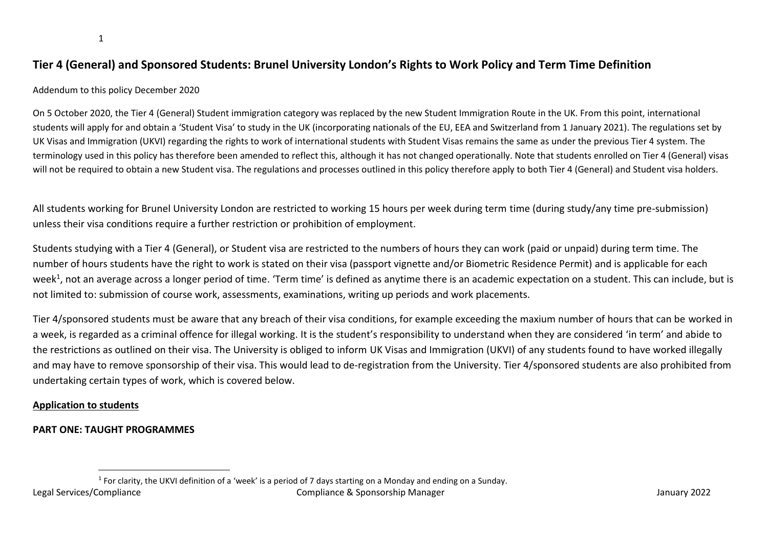# **Tier 4 (General) and Sponsored Students: Brunel University London's Rights to Work Policy and Term Time Definition**

#### Addendum to this policy December 2020

On 5 October 2020, the Tier 4 (General) Student immigration category was replaced by the new Student Immigration Route in the UK. From this point, international students will apply for and obtain a 'Student Visa' to study in the UK (incorporating nationals of the EU, EEA and Switzerland from 1 January 2021). The regulations set by UK Visas and Immigration (UKVI) regarding the rights to work of international students with Student Visas remains the same as under the previous Tier 4 system. The terminology used in this policy has therefore been amended to reflect this, although it has not changed operationally. Note that students enrolled on Tier 4 (General) visas will not be required to obtain a new Student visa. The regulations and processes outlined in this policy therefore apply to both Tier 4 (General) and Student visa holders.

All students working for Brunel University London are restricted to working 15 hours per week during term time (during study/any time pre-submission) unless their visa conditions require a further restriction or prohibition of employment.

Students studying with a Tier 4 (General), or Student visa are restricted to the numbers of hours they can work (paid or unpaid) during term time. The number of hours students have the right to work is stated on their visa (passport vignette and/or Biometric Residence Permit) and is applicable for each week<sup>1</sup>, not an average across a longer period of time. 'Term time' is defined as anytime there is an academic expectation on a student. This can include, but is not limited to: submission of course work, assessments, examinations, writing up periods and work placements.

Tier 4/sponsored students must be aware that any breach of their visa conditions, for example exceeding the maxium number of hours that can be worked in a week, is regarded as a criminal offence for illegal working. It is the student's responsibility to understand when they are considered 'in term' and abide to the restrictions as outlined on their visa. The University is obliged to inform UK Visas and Immigration (UKVI) of any students found to have worked illegally and may have to remove sponsorship of their visa. This would lead to de-registration from the University. Tier 4/sponsored students are also prohibited from undertaking certain types of work, which is covered below.

#### **Application to students**

#### **PART ONE: TAUGHT PROGRAMMES**

 $\overline{a}$ 

Legal Services/Compliance Compliance & Sponsorship Manager January 2022 1 For clarity, the UKVI definition of a 'week' is a period of 7 days starting on a Monday and ending on a Sunday.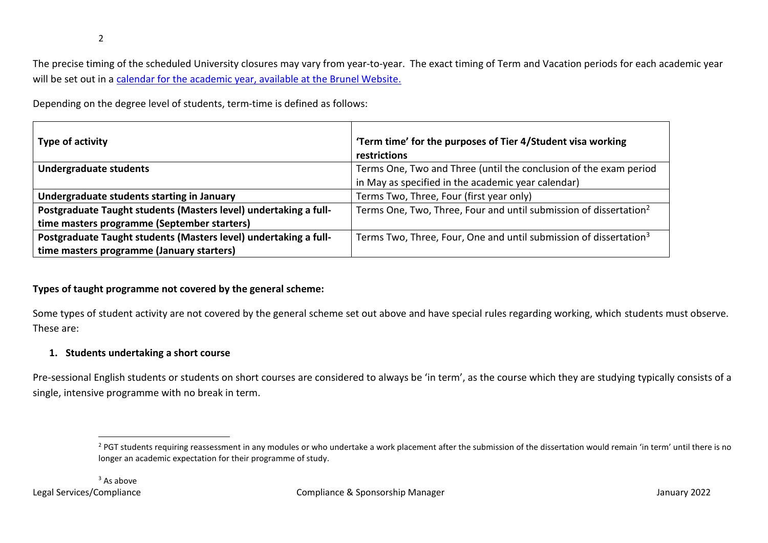The precise timing of the scheduled University closures may vary from year-to-year. The exact timing of Term and Vacation periods for each academic year will be set out in a [calendar for the academic year, available at the Brunel Website.](https://www.brunel.ac.uk/about/term-dates)

Depending on the degree level of students, term-time is defined as follows:

| Type of activity                                                 | 'Term time' for the purposes of Tier 4/Student visa working<br>restrictions   |
|------------------------------------------------------------------|-------------------------------------------------------------------------------|
| Undergraduate students                                           | Terms One, Two and Three (until the conclusion of the exam period             |
|                                                                  | in May as specified in the academic year calendar)                            |
| Undergraduate students starting in January                       | Terms Two, Three, Four (first year only)                                      |
| Postgraduate Taught students (Masters level) undertaking a full- | Terms One, Two, Three, Four and until submission of dissertation <sup>2</sup> |
| time masters programme (September starters)                      |                                                                               |
| Postgraduate Taught students (Masters level) undertaking a full- | Terms Two, Three, Four, One and until submission of dissertation <sup>3</sup> |
| time masters programme (January starters)                        |                                                                               |

# **Types of taught programme not covered by the general scheme:**

Some types of student activity are not covered by the general scheme set out above and have special rules regarding working, which students must observe. These are:

# **1. Students undertaking a short course**

Pre-sessional English students or students on short courses are considered to always be 'in term', as the course which they are studying typically consists of a single, intensive programme with no break in term.

 $\overline{a}$ 

<sup>&</sup>lt;sup>2</sup> PGT students requiring reassessment in any modules or who undertake a work placement after the submission of the dissertation would remain 'in term' until there is no longer an academic expectation for their programme of study.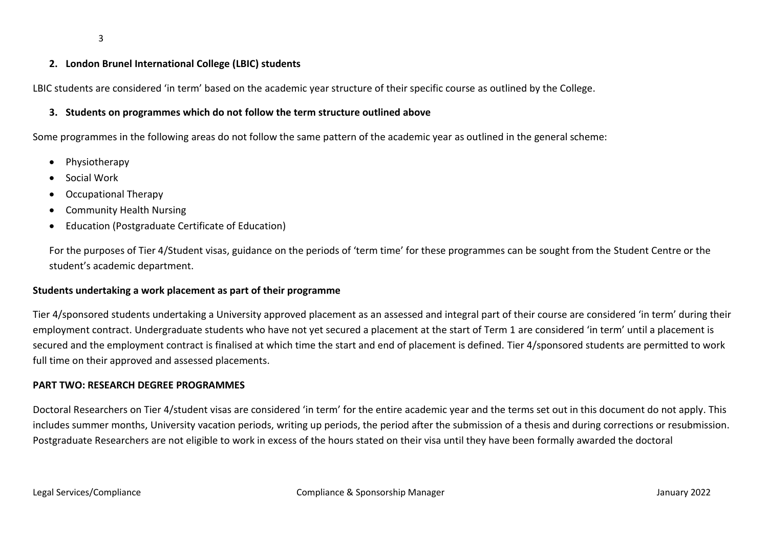#### **2. London Brunel International College (LBIC) students**

LBIC students are considered 'in term' based on the academic year structure of their specific course as outlined by the College.

### **3. Students on programmes which do not follow the term structure outlined above**

Some programmes in the following areas do not follow the same pattern of the academic year as outlined in the general scheme:

- Physiotherapy
- Social Work
- Occupational Therapy
- Community Health Nursing
- Education (Postgraduate Certificate of Education)

For the purposes of Tier 4/Student visas, guidance on the periods of 'term time' for these programmes can be sought from the Student Centre or the student's academic department.

### **Students undertaking a work placement as part of their programme**

Tier 4/sponsored students undertaking a University approved placement as an assessed and integral part of their course are considered 'in term' during their employment contract. Undergraduate students who have not yet secured a placement at the start of Term 1 are considered 'in term' until a placement is secured and the employment contract is finalised at which time the start and end of placement is defined. Tier 4/sponsored students are permitted to work full time on their approved and assessed placements.

#### **PART TWO: RESEARCH DEGREE PROGRAMMES**

Doctoral Researchers on Tier 4/student visas are considered 'in term' for the entire academic year and the terms set out in this document do not apply. This includes summer months, University vacation periods, writing up periods, the period after the submission of a thesis and during corrections or resubmission. Postgraduate Researchers are not eligible to work in excess of the hours stated on their visa until they have been formally awarded the doctoral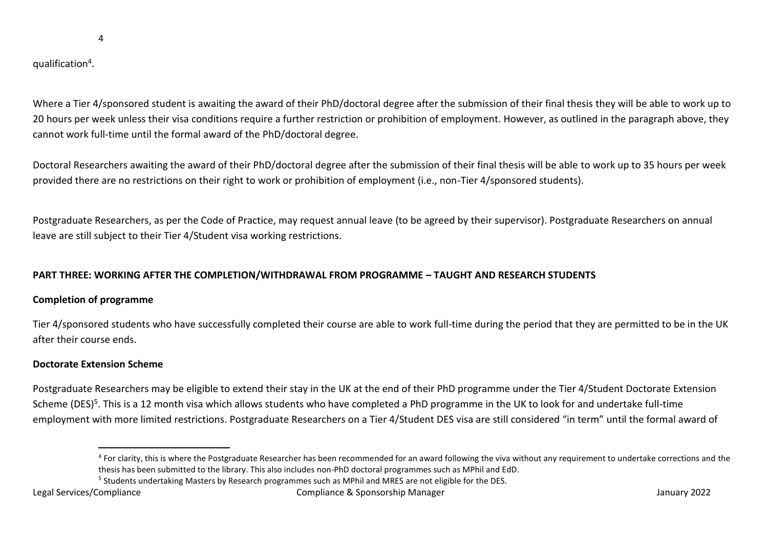4

qualification<sup>4</sup>.

Where a Tier 4/sponsored student is awaiting the award of their PhD/doctoral degree after the submission of their final thesis they will be able to work up to 20 hours per week unless their visa conditions require a further restriction or prohibition of employment. However, as outlined in the paragraph above, they cannot work full-time until the formal award of the PhD/doctoral degree.

Doctoral Researchers awaiting the award of their PhD/doctoral degree after the submission of their final thesis will be able to work up to 35 hours per week provided there are no restrictions on their right to work or prohibition of employment (i.e., non-Tier 4/sponsored students).

Postgraduate Researchers, as per the Code of Practice, may request annual leave (to be agreed by their supervisor). Postgraduate Researchers on annual leave are still subject to their Tier 4/Student visa working restrictions.

# **PART THREE: WORKING AFTER THE COMPLETION/WITHDRAWAL FROM PROGRAMME – TAUGHT AND RESEARCH STUDENTS**

# **Completion of programme**

Tier 4/sponsored students who have successfully completed their course are able to work full-time during the period that they are permitted to be in the UK after their course ends.

# **Doctorate Extension Scheme**

 $\overline{a}$ 

Postgraduate Researchers may be eligible to extend their stay in the UK at the end of their PhD programme under the Tier 4/Student Doctorate Extension Scheme (DES)<sup>5</sup>. This is a 12 month visa which allows students who have completed a PhD programme in the UK to look for and undertake full-time employment with more limited restrictions. Postgraduate Researchers on a Tier 4/Student DES visa are still considered "in term" until the formal award of

<sup>&</sup>lt;sup>4</sup> For clarity, this is where the Postgraduate Researcher has been recommended for an award following the viva without any requirement to undertake corrections and the thesis has been submitted to the library. This also includes non-PhD doctoral programmes such as MPhil and EdD.

<sup>&</sup>lt;sup>5</sup> Students undertaking Masters by Research programmes such as MPhil and MRES are not eligible for the DES.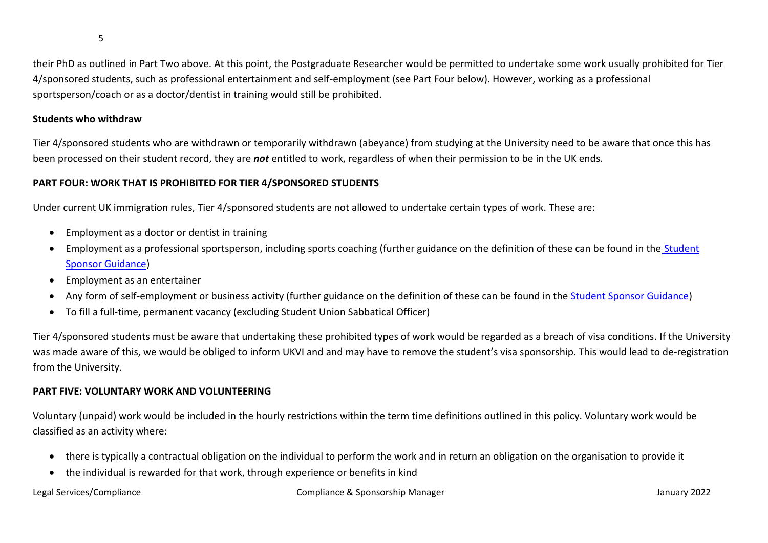5

their PhD as outlined in Part Two above. At this point, the Postgraduate Researcher would be permitted to undertake some work usually prohibited for Tier 4/sponsored students, such as professional entertainment and self-employment (see Part Four below). However, working as a professional sportsperson/coach or as a doctor/dentist in training would still be prohibited.

# **Students who withdraw**

Tier 4/sponsored students who are withdrawn or temporarily withdrawn (abeyance) from studying at the University need to be aware that once this has been processed on their student record, they are *not* entitled to work, regardless of when their permission to be in the UK ends.

# **PART FOUR: WORK THAT IS PROHIBITED FOR TIER 4/SPONSORED STUDENTS**

Under current UK immigration rules, Tier 4/sponsored students are not allowed to undertake certain types of work. These are:

- Employment as a doctor or dentist in training
- Employment as a professional sportsperson, including sports coaching (further guidance on the definition of these can be found in the Student [Sponsor Guidance\)](https://assets.publishing.service.gov.uk/government/uploads/system/uploads/attachment_data/file/939471/Student_Sponsor_Guidance_-_Doc_2_-_Sponsorship_Duties_2020-12.pdf)
- Employment as an entertainer
- Any form of self-employment or business activity (further guidance on the definition of these can be found in the [Student Sponsor Guidance\)](https://assets.publishing.service.gov.uk/government/uploads/system/uploads/attachment_data/file/939471/Student_Sponsor_Guidance_-_Doc_2_-_Sponsorship_Duties_2020-12.pdf)
- To fill a full-time, permanent vacancy (excluding Student Union Sabbatical Officer)

Tier 4/sponsored students must be aware that undertaking these prohibited types of work would be regarded as a breach of visa conditions. If the University was made aware of this, we would be obliged to inform UKVI and and may have to remove the student's visa sponsorship. This would lead to de-registration from the University.

# **PART FIVE: VOLUNTARY WORK AND VOLUNTEERING**

Voluntary (unpaid) work would be included in the hourly restrictions within the term time definitions outlined in this policy. Voluntary work would be classified as an activity where:

- there is typically a contractual obligation on the individual to perform the work and in return an obligation on the organisation to provide it
- the individual is rewarded for that work, through experience or benefits in kind

### Legal Services/Compliance Compliance & Sponsorship Manager January 2022